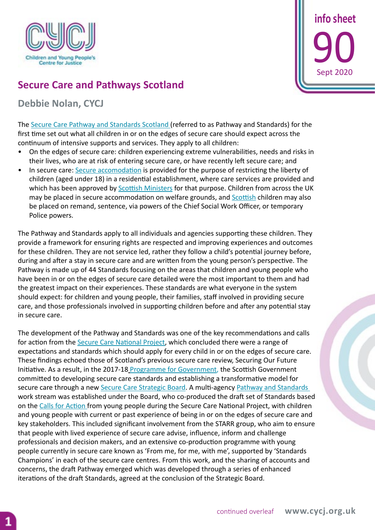

 **info sheet 90** Sept 2020

## **Secure Care and Pathways Scotland**

## **Debbie Nolan, CYCJ**

The [Secure Care Pathway and Standards Scotland](www.securecarestandards.com) (referred to as Pathway and Standards) for the first time set out what all children in or on the edges of secure care should expect across the continuum of intensive supports and services. They apply to all children:

- On the edges of secure care: children experiencing extreme vulnerabilities, needs and risks in their lives, who are at risk of entering secure care, or have recently left secure care; and
- In secure care[:]( Secure accommodation) [Secure accomodation](https://www.legislation.gov.uk/sdsi/2013/9780111020463) is provided for the purpose of restricting the liberty of children (aged under 18) in a residential establishment, where care services are provided and which has been approved by **Scottish Ministers** for that purpose. Children from across the UK may be placed in secure accommodation on welfare grounds, and [Scottish](https://cycj.org.uk/wp-content/uploads/2019/11/Info-sheet-85.pdf) children may also be placed on remand, sentence, via powers of the Chief Social Work Officer, or temporary Police powers.

The Pathway and Standards apply to all individuals and agencies supporting these children. They provide a framework for ensuring rights are respected and improving experiences and outcomes for these children. They are not service led, rather they follow a child's potential journey before, during and after a stay in secure care and are written from the young person's perspective. The Pathway is made up of 44 Standards focusing on the areas that children and young people who have been in or on the edges of secure care detailed were the most important to them and had the greatest impact on their experiences. These standards are what everyone in the system should expect: for children and young people, their families, staff involved in providing secure care, and those professionals involved in supporting children before and after any potential stay in secure care.

The development of the Pathway and Standards was one of the key recommendations and calls for action from the [Secure Care National Project,](https://www.cycj.org.uk/what-we-do/secure-care/) which concluded there were a range of expectations and standards which should apply for every child in or on the edges of secure care. These findings echoed those of Scotland's previous secure care review, Securing Our Future Initiative. As a result, in the 2017-18 [Programme for Government](https://www.gov.scot/publications/nation-ambition-governments-programme-scotland-2017-18/), the Scottish Government committed to developing secure care standards and establishing a transformative model for secure care through a new [Secure Care Strategic Board.](https://www.gov.scot/groups/secure-care-strategic-board/) A multi-agency Pathway and Standards work stream was established under the Board, who co-produced the draft set of Standards based on the [Calls for Action](https://cycj.org.uk/wp-content/uploads/2017/10/Secure-Care-Young-Peoples-Voices.pdf) from young people during the Secure Care National Project, with children and young people with current or past experience of being in or on the edges of secure care and key stakeholders. This included significant involvement from the STARR group, who aim to ensure that people with lived experience of secure care advise, influence, inform and challenge professionals and decision makers, and an extensive co-production programme with young people currently in secure care known as 'From me, for me, with me', supported by 'Standards Champions' in each of the secure care centres. From this work, and the sharing of accounts and concerns, the draft Pathway emerged which was developed through a series of enhanced iterations of the draft Standards, agreed at the conclusion of the Strategic Board.